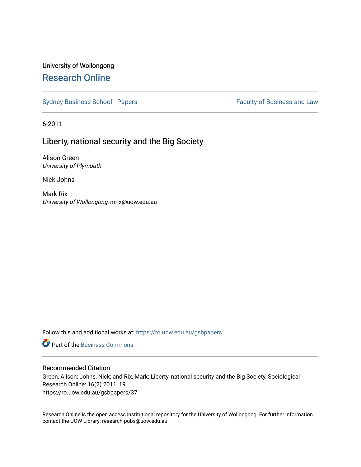# University of Wollongong [Research Online](https://ro.uow.edu.au/)

[Sydney Business School - Papers](https://ro.uow.edu.au/gsbpapers) Faculty of Business and Law

6-2011

# Liberty, national security and the Big Society

Alison Green University of Plymouth

Nick Johns

Mark Rix University of Wollongong, mrix@uow.edu.au

Follow this and additional works at: [https://ro.uow.edu.au/gsbpapers](https://ro.uow.edu.au/gsbpapers?utm_source=ro.uow.edu.au%2Fgsbpapers%2F37&utm_medium=PDF&utm_campaign=PDFCoverPages) 

**C** Part of the [Business Commons](http://network.bepress.com/hgg/discipline/622?utm_source=ro.uow.edu.au%2Fgsbpapers%2F37&utm_medium=PDF&utm_campaign=PDFCoverPages)

#### Recommended Citation

Green, Alison; Johns, Nick; and Rix, Mark: Liberty, national security and the Big Society, Sociological Research Online: 16(2) 2011, 19. https://ro.uow.edu.au/gsbpapers/37

Research Online is the open access institutional repository for the University of Wollongong. For further information contact the UOW Library: research-pubs@uow.edu.au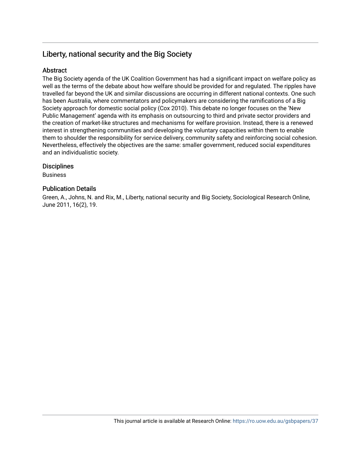# Liberty, national security and the Big Society

### Abstract

The Big Society agenda of the UK Coalition Government has had a significant impact on welfare policy as well as the terms of the debate about how welfare should be provided for and regulated. The ripples have travelled far beyond the UK and similar discussions are occurring in different national contexts. One such has been Australia, where commentators and policymakers are considering the ramifications of a Big Society approach for domestic social policy (Cox 2010). This debate no longer focuses on the 'New Public Management' agenda with its emphasis on outsourcing to third and private sector providers and the creation of market-like structures and mechanisms for welfare provision. Instead, there is a renewed interest in strengthening communities and developing the voluntary capacities within them to enable them to shoulder the responsibility for service delivery, community safety and reinforcing social cohesion. Nevertheless, effectively the objectives are the same: smaller government, reduced social expenditures and an individualistic society.

### **Disciplines**

Business

### Publication Details

Green, A., Johns, N. and Rix, M., Liberty, national security and Big Society, Sociological Research Online, June 2011, 16(2), 19.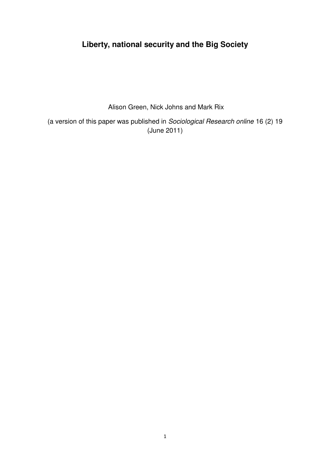# **Liberty, national security and the Big Society**

Alison Green, Nick Johns and Mark Rix

(a version of this paper was published in Sociological Research online 16 (2) 19 (June 2011)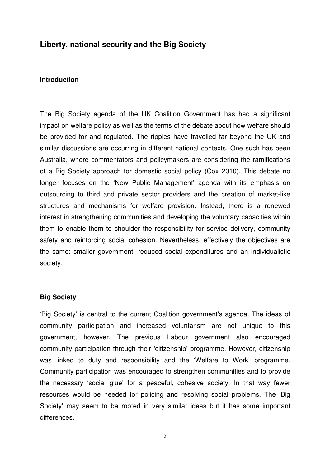# **Liberty, national security and the Big Society**

### **Introduction**

The Big Society agenda of the UK Coalition Government has had a significant impact on welfare policy as well as the terms of the debate about how welfare should be provided for and regulated. The ripples have travelled far beyond the UK and similar discussions are occurring in different national contexts. One such has been Australia, where commentators and policymakers are considering the ramifications of a Big Society approach for domestic social policy (Cox 2010). This debate no longer focuses on the 'New Public Management' agenda with its emphasis on outsourcing to third and private sector providers and the creation of market-like structures and mechanisms for welfare provision. Instead, there is a renewed interest in strengthening communities and developing the voluntary capacities within them to enable them to shoulder the responsibility for service delivery, community safety and reinforcing social cohesion. Nevertheless, effectively the objectives are the same: smaller government, reduced social expenditures and an individualistic society.

### **Big Society**

'Big Society' is central to the current Coalition government's agenda. The ideas of community participation and increased voluntarism are not unique to this government, however. The previous Labour government also encouraged community participation through their 'citizenship' programme. However, citizenship was linked to duty and responsibility and the 'Welfare to Work' programme. Community participation was encouraged to strengthen communities and to provide the necessary 'social glue' for a peaceful, cohesive society. In that way fewer resources would be needed for policing and resolving social problems. The 'Big Society' may seem to be rooted in very similar ideas but it has some important differences.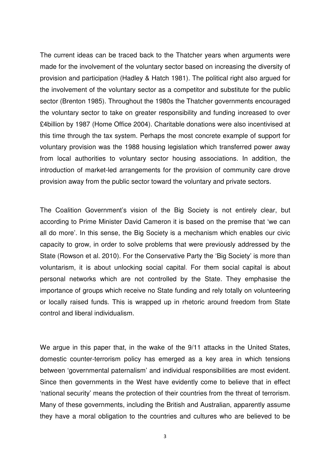The current ideas can be traced back to the Thatcher years when arguments were made for the involvement of the voluntary sector based on increasing the diversity of provision and participation (Hadley & Hatch 1981). The political right also argued for the involvement of the voluntary sector as a competitor and substitute for the public sector (Brenton 1985). Throughout the 1980s the Thatcher governments encouraged the voluntary sector to take on greater responsibility and funding increased to over £4billion by 1987 (Home Office 2004). Charitable donations were also incentivised at this time through the tax system. Perhaps the most concrete example of support for voluntary provision was the 1988 housing legislation which transferred power away from local authorities to voluntary sector housing associations. In addition, the introduction of market-led arrangements for the provision of community care drove provision away from the public sector toward the voluntary and private sectors.

The Coalition Government's vision of the Big Society is not entirely clear, but according to Prime Minister David Cameron it is based on the premise that 'we can all do more'. In this sense, the Big Society is a mechanism which enables our civic capacity to grow, in order to solve problems that were previously addressed by the State (Rowson et al. 2010). For the Conservative Party the 'Big Society' is more than voluntarism, it is about unlocking social capital. For them social capital is about personal networks which are not controlled by the State. They emphasise the importance of groups which receive no State funding and rely totally on volunteering or locally raised funds. This is wrapped up in rhetoric around freedom from State control and liberal individualism.

We argue in this paper that, in the wake of the 9/11 attacks in the United States, domestic counter-terrorism policy has emerged as a key area in which tensions between 'governmental paternalism' and individual responsibilities are most evident. Since then governments in the West have evidently come to believe that in effect 'national security' means the protection of their countries from the threat of terrorism. Many of these governments, including the British and Australian, apparently assume they have a moral obligation to the countries and cultures who are believed to be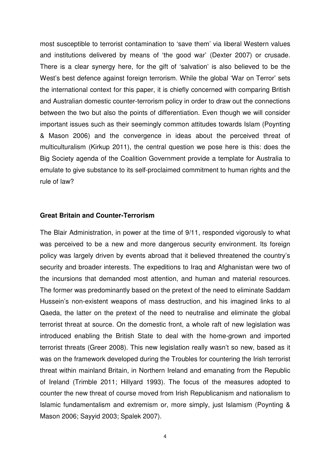most susceptible to terrorist contamination to 'save them' via liberal Western values and institutions delivered by means of 'the good war' (Dexter 2007) or crusade. There is a clear synergy here, for the gift of 'salvation' is also believed to be the West's best defence against foreign terrorism. While the global 'War on Terror' sets the international context for this paper, it is chiefly concerned with comparing British and Australian domestic counter-terrorism policy in order to draw out the connections between the two but also the points of differentiation. Even though we will consider important issues such as their seemingly common attitudes towards Islam (Poynting & Mason 2006) and the convergence in ideas about the perceived threat of multiculturalism (Kirkup 2011), the central question we pose here is this: does the Big Society agenda of the Coalition Government provide a template for Australia to emulate to give substance to its self-proclaimed commitment to human rights and the rule of law?

# **Great Britain and Counter-Terrorism**

The Blair Administration, in power at the time of 9/11, responded vigorously to what was perceived to be a new and more dangerous security environment. Its foreign policy was largely driven by events abroad that it believed threatened the country's security and broader interests. The expeditions to Iraq and Afghanistan were two of the incursions that demanded most attention, and human and material resources. The former was predominantly based on the pretext of the need to eliminate Saddam Hussein's non-existent weapons of mass destruction, and his imagined links to al Qaeda, the latter on the pretext of the need to neutralise and eliminate the global terrorist threat at source. On the domestic front, a whole raft of new legislation was introduced enabling the British State to deal with the home-grown and imported terrorist threats (Greer 2008). This new legislation really wasn't so new, based as it was on the framework developed during the Troubles for countering the Irish terrorist threat within mainland Britain, in Northern Ireland and emanating from the Republic of Ireland (Trimble 2011; Hillyard 1993). The focus of the measures adopted to counter the new threat of course moved from Irish Republicanism and nationalism to Islamic fundamentalism and extremism or, more simply, just Islamism (Poynting & Mason 2006; Sayyid 2003; Spalek 2007).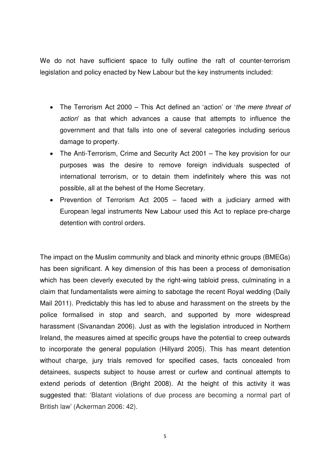We do not have sufficient space to fully outline the raft of counter-terrorism legislation and policy enacted by New Labour but the key instruments included:

- The Terrorism Act 2000 This Act defined an 'action' or 'the mere threat of action' as that which advances a cause that attempts to influence the government and that falls into one of several categories including serious damage to property.
- The Anti-Terrorism, Crime and Security Act 2001 The key provision for our purposes was the desire to remove foreign individuals suspected of international terrorism, or to detain them indefinitely where this was not possible, all at the behest of the Home Secretary.
- Prevention of Terrorism Act 2005 faced with a judiciary armed with European legal instruments New Labour used this Act to replace pre-charge detention with control orders.

The impact on the Muslim community and black and minority ethnic groups (BMEGs) has been significant. A key dimension of this has been a process of demonisation which has been cleverly executed by the right-wing tabloid press, culminating in a claim that fundamentalists were aiming to sabotage the recent Royal wedding (Daily Mail 2011). Predictably this has led to abuse and harassment on the streets by the police formalised in stop and search, and supported by more widespread harassment (Sivanandan 2006). Just as with the legislation introduced in Northern Ireland, the measures aimed at specific groups have the potential to creep outwards to incorporate the general population (Hillyard 2005). This has meant detention without charge, jury trials removed for specified cases, facts concealed from detainees, suspects subject to house arrest or curfew and continual attempts to extend periods of detention (Bright 2008). At the height of this activity it was suggested that: 'Blatant violations of due process are becoming a normal part of British law' (Ackerman 2006: 42).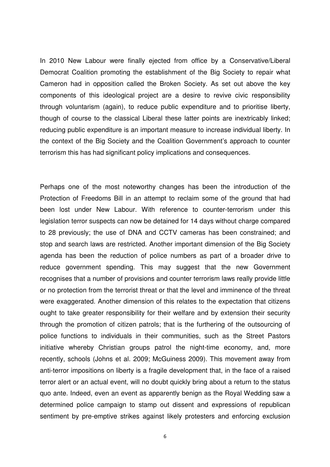In 2010 New Labour were finally ejected from office by a Conservative/Liberal Democrat Coalition promoting the establishment of the Big Society to repair what Cameron had in opposition called the Broken Society. As set out above the key components of this ideological project are a desire to revive civic responsibility through voluntarism (again), to reduce public expenditure and to prioritise liberty, though of course to the classical Liberal these latter points are inextricably linked; reducing public expenditure is an important measure to increase individual liberty. In the context of the Big Society and the Coalition Government's approach to counter terrorism this has had significant policy implications and consequences.

Perhaps one of the most noteworthy changes has been the introduction of the Protection of Freedoms Bill in an attempt to reclaim some of the ground that had been lost under New Labour. With reference to counter-terrorism under this legislation terror suspects can now be detained for 14 days without charge compared to 28 previously; the use of DNA and CCTV cameras has been constrained; and stop and search laws are restricted. Another important dimension of the Big Society agenda has been the reduction of police numbers as part of a broader drive to reduce government spending. This may suggest that the new Government recognises that a number of provisions and counter terrorism laws really provide little or no protection from the terrorist threat or that the level and imminence of the threat were exaggerated. Another dimension of this relates to the expectation that citizens ought to take greater responsibility for their welfare and by extension their security through the promotion of citizen patrols; that is the furthering of the outsourcing of police functions to individuals in their communities, such as the Street Pastors initiative whereby Christian groups patrol the night-time economy, and, more recently, schools (Johns et al. 2009; McGuiness 2009). This movement away from anti-terror impositions on liberty is a fragile development that, in the face of a raised terror alert or an actual event, will no doubt quickly bring about a return to the status quo ante. Indeed, even an event as apparently benign as the Royal Wedding saw a determined police campaign to stamp out dissent and expressions of republican sentiment by pre-emptive strikes against likely protesters and enforcing exclusion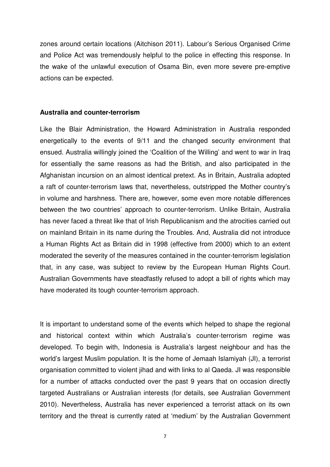zones around certain locations (Aitchison 2011). Labour's Serious Organised Crime and Police Act was tremendously helpful to the police in effecting this response. In the wake of the unlawful execution of Osama Bin, even more severe pre-emptive actions can be expected.

### **Australia and counter-terrorism**

Like the Blair Administration, the Howard Administration in Australia responded energetically to the events of 9/11 and the changed security environment that ensued. Australia willingly joined the 'Coalition of the Willing' and went to war in Iraq for essentially the same reasons as had the British, and also participated in the Afghanistan incursion on an almost identical pretext. As in Britain, Australia adopted a raft of counter-terrorism laws that, nevertheless, outstripped the Mother country's in volume and harshness. There are, however, some even more notable differences between the two countries' approach to counter-terrorism. Unlike Britain, Australia has never faced a threat like that of Irish Republicanism and the atrocities carried out on mainland Britain in its name during the Troubles. And, Australia did not introduce a Human Rights Act as Britain did in 1998 (effective from 2000) which to an extent moderated the severity of the measures contained in the counter-terrorism legislation that, in any case, was subject to review by the European Human Rights Court. Australian Governments have steadfastly refused to adopt a bill of rights which may have moderated its tough counter-terrorism approach.

It is important to understand some of the events which helped to shape the regional and historical context within which Australia's counter-terrorism regime was developed. To begin with, Indonesia is Australia's largest neighbour and has the world's largest Muslim population. It is the home of Jemaah Islamiyah (JI), a terrorist organisation committed to violent jihad and with links to al Qaeda. JI was responsible for a number of attacks conducted over the past 9 years that on occasion directly targeted Australians or Australian interests (for details, see Australian Government 2010). Nevertheless, Australia has never experienced a terrorist attack on its own territory and the threat is currently rated at 'medium' by the Australian Government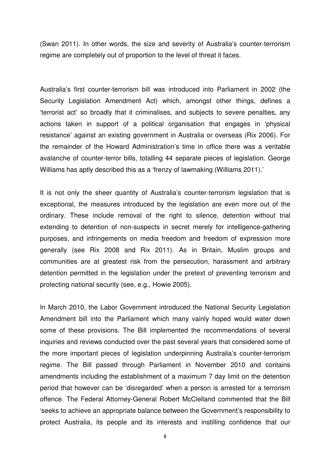(Swan 2011). In other words, the size and severity of Australia's counter-terrorism regime are completely out of proportion to the level of threat it faces.

Australia's first counter-terrorism bill was introduced into Parliament in 2002 (the Security Legislation Amendment Act) which, amongst other things, defines a 'terrorist act' so broadly that it criminalises, and subjects to severe penalties, any actions taken in support of a political organisation that engages in 'physical resistance' against an existing government in Australia or overseas (Rix 2006). For the remainder of the Howard Administration's time in office there was a veritable avalanche of counter-terror bills, totalling 44 separate pieces of legislation. George Williams has aptly described this as a 'frenzy of lawmaking (Williams 2011).'

It is not only the sheer quantity of Australia's counter-terrorism legislation that is exceptional, the measures introduced by the legislation are even more out of the ordinary. These include removal of the right to silence, detention without trial extending to detention of non-suspects in secret merely for intelligence-gathering purposes, and infringements on media freedom and freedom of expression more generally (see Rix 2008 and Rix 2011). As in Britain, Muslim groups and communities are at greatest risk from the persecution, harassment and arbitrary detention permitted in the legislation under the pretext of preventing terrorism and protecting national security (see, e.g., Howie 2005).

In March 2010, the Labor Government introduced the National Security Legislation Amendment bill into the Parliament which many vainly hoped would water down some of these provisions. The Bill implemented the recommendations of several inquiries and reviews conducted over the past several years that considered some of the more important pieces of legislation underpinning Australia's counter-terrorism regime. The Bill passed through Parliament in November 2010 and contains amendments including the establishment of a maximum 7 day limit on the detention period that however can be 'disregarded' when a person is arrested for a terrorism offence. The Federal Attorney-General Robert McClelland commented that the Bill 'seeks to achieve an appropriate balance between the Government's responsibility to protect Australia, its people and its interests and instilling confidence that our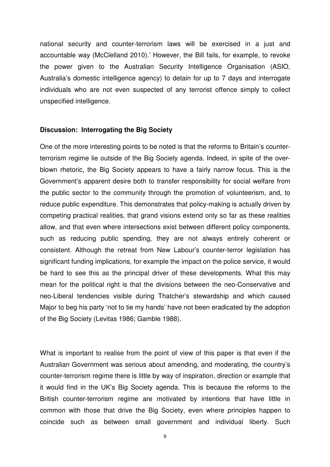national security and counter-terrorism laws will be exercised in a just and accountable way (McClelland 2010).' However, the Bill fails, for example, to revoke the power given to the Australian Security Intelligence Organisation (ASIO, Australia's domestic intelligence agency) to detain for up to 7 days and interrogate individuals who are not even suspected of any terrorist offence simply to collect unspecified intelligence.

#### **Discussion: Interrogating the Big Society**

One of the more interesting points to be noted is that the reforms to Britain's counterterrorism regime lie outside of the Big Society agenda. Indeed, in spite of the overblown rhetoric, the Big Society appears to have a fairly narrow focus. This is the Government's apparent desire both to transfer responsibility for social welfare from the public sector to the community through the promotion of volunteerism, and, to reduce public expenditure. This demonstrates that policy-making is actually driven by competing practical realities, that grand visions extend only so far as these realities allow, and that even where intersections exist between different policy components, such as reducing public spending, they are not always entirely coherent or consistent. Although the retreat from New Labour's counter-terror legislation has significant funding implications, for example the impact on the police service, it would be hard to see this as the principal driver of these developments. What this may mean for the political right is that the divisions between the neo-Conservative and neo-Liberal tendencies visible during Thatcher's stewardship and which caused Major to beg his party 'not to tie my hands' have not been eradicated by the adoption of the Big Society (Levitas 1986; Gamble 1988).

What is important to realise from the point of view of this paper is that even if the Australian Government was serious about amending, and moderating, the country's counter-terrorism regime there is little by way of inspiration, direction or example that it would find in the UK's Big Society agenda. This is because the reforms to the British counter-terrorism regime are motivated by intentions that have little in common with those that drive the Big Society, even where principles happen to coincide such as between small government and individual liberty. Such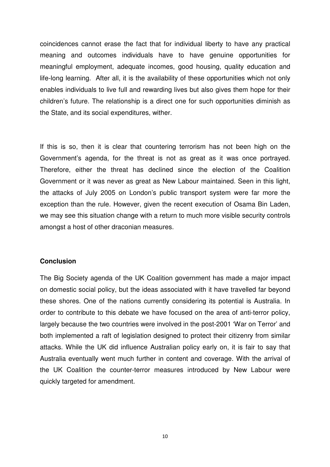coincidences cannot erase the fact that for individual liberty to have any practical meaning and outcomes individuals have to have genuine opportunities for meaningful employment, adequate incomes, good housing, quality education and life-long learning. After all, it is the availability of these opportunities which not only enables individuals to live full and rewarding lives but also gives them hope for their children's future. The relationship is a direct one for such opportunities diminish as the State, and its social expenditures, wither.

If this is so, then it is clear that countering terrorism has not been high on the Government's agenda, for the threat is not as great as it was once portrayed. Therefore, either the threat has declined since the election of the Coalition Government or it was never as great as New Labour maintained. Seen in this light, the attacks of July 2005 on London's public transport system were far more the exception than the rule. However, given the recent execution of Osama Bin Laden, we may see this situation change with a return to much more visible security controls amongst a host of other draconian measures.

## **Conclusion**

The Big Society agenda of the UK Coalition government has made a major impact on domestic social policy, but the ideas associated with it have travelled far beyond these shores. One of the nations currently considering its potential is Australia. In order to contribute to this debate we have focused on the area of anti-terror policy, largely because the two countries were involved in the post-2001 'War on Terror' and both implemented a raft of legislation designed to protect their citizenry from similar attacks. While the UK did influence Australian policy early on, it is fair to say that Australia eventually went much further in content and coverage. With the arrival of the UK Coalition the counter-terror measures introduced by New Labour were quickly targeted for amendment.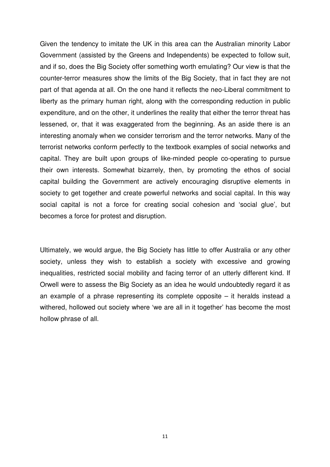Given the tendency to imitate the UK in this area can the Australian minority Labor Government (assisted by the Greens and Independents) be expected to follow suit, and if so, does the Big Society offer something worth emulating? Our view is that the counter-terror measures show the limits of the Big Society, that in fact they are not part of that agenda at all. On the one hand it reflects the neo-Liberal commitment to liberty as the primary human right, along with the corresponding reduction in public expenditure, and on the other, it underlines the reality that either the terror threat has lessened, or, that it was exaggerated from the beginning. As an aside there is an interesting anomaly when we consider terrorism and the terror networks. Many of the terrorist networks conform perfectly to the textbook examples of social networks and capital. They are built upon groups of like-minded people co-operating to pursue their own interests. Somewhat bizarrely, then, by promoting the ethos of social capital building the Government are actively encouraging disruptive elements in society to get together and create powerful networks and social capital. In this way social capital is not a force for creating social cohesion and 'social glue', but becomes a force for protest and disruption.

Ultimately, we would argue, the Big Society has little to offer Australia or any other society, unless they wish to establish a society with excessive and growing inequalities, restricted social mobility and facing terror of an utterly different kind. If Orwell were to assess the Big Society as an idea he would undoubtedly regard it as an example of a phrase representing its complete opposite – it heralds instead a withered, hollowed out society where 'we are all in it together' has become the most hollow phrase of all.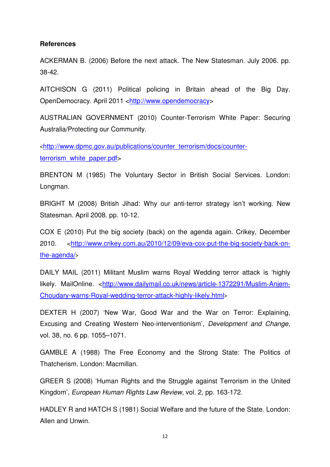# **References**

ACKERMAN B. (2006) Before the next attack. The New Statesman. July 2006. pp. 38-42.

AITCHISON G (2011) Political policing in Britain ahead of the Big Day. OpenDemocracy. April 2011 <http://www.opendemocracy>

AUSTRALIAN GOVERNMENT (2010) Counter-Terrorism White Paper: Securing Australia/Protecting our Community.

<http://www.dpmc.gov.au/publications/counter\_terrorism/docs/counterterrorism\_white\_paper.pdf>

BRENTON M (1985) The Voluntary Sector in British Social Services. London: Longman.

BRIGHT M (2008) British Jihad: Why our anti-terror strategy isn't working. New Statesman. April 2008. pp. 10-12.

COX E (2010) Put the big society (back) on the agenda again. Crikey, December 2010. <http://www.crikey.com.au/2010/12/09/eva-cox-put-the-big-society-back-onthe-agenda/>

DAILY MAIL (2011) Militant Muslim warns Royal Wedding terror attack is 'highly likely. MailOnline. <http://www.dailymail.co.uk/news/article-1372291/Muslim-Anjem-Choudary-warns-Royal-wedding-terror-attack-highly-likely.html>

DEXTER H (2007) 'New War, Good War and the War on Terror: Explaining, Excusing and Creating Western Neo-interventionism', Development and Change, vol. 38, no. 6 pp. 1055–1071.

GAMBLE A (1988) The Free Economy and the Strong State: The Politics of Thatcherism. London: Macmillan.

GREER S (2008) 'Human Rights and the Struggle against Terrorism in the United Kingdom', European Human Rights Law Review, vol. 2, pp. 163-172.

HADLEY R and HATCH S (1981) Social Welfare and the future of the State. London: Allen and Unwin.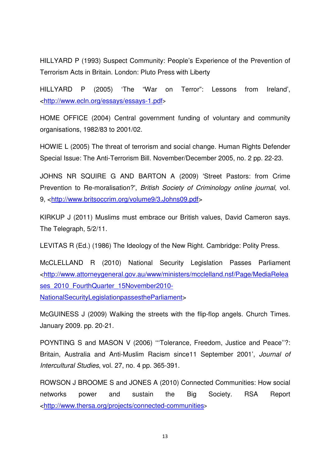HILLYARD P (1993) Suspect Community: People's Experience of the Prevention of Terrorism Acts in Britain. London: Pluto Press with Liberty

HILLYARD P (2005) 'The "War on Terror": Lessons from Ireland', <http://www.ecln.org/essays/essays-1.pdf>

HOME OFFICE (2004) Central government funding of voluntary and community organisations, 1982/83 to 2001/02.

HOWIE L (2005) The threat of terrorism and social change. Human Rights Defender Special Issue: The Anti-Terrorism Bill. November/December 2005, no. 2 pp. 22-23.

JOHNS NR SQUIRE G AND BARTON A (2009) 'Street Pastors: from Crime Prevention to Re-moralisation?', British Society of Criminology online journal, vol. 9, <http://www.britsoccrim.org/volume9/3.Johns09.pdf>

KIRKUP J (2011) Muslims must embrace our British values, David Cameron says. The Telegraph, 5/2/11.

LEVITAS R (Ed.) (1986) The Ideology of the New Right. Cambridge: Polity Press.

McCLELLAND R (2010) National Security Legislation Passes Parliament <http://www.attorneygeneral.gov.au/www/ministers/mcclelland.nsf/Page/MediaRelea ses\_2010\_FourthQuarter\_15November2010-NationalSecurityLegislationpassestheParliament>

McGUINESS J (2009) Walking the streets with the flip-flop angels. Church Times. January 2009. pp. 20-21.

POYNTING S and MASON V (2006) '''Tolerance, Freedom, Justice and Peace''?: Britain, Australia and Anti-Muslim Racism since11 September 2001', Journal of Intercultural Studies, vol. 27, no. 4 pp. 365-391.

ROWSON J BROOME S and JONES A (2010) Connected Communities: How social networks power and sustain the Big Society. RSA Report <http://www.thersa.org/projects/connected-communities>